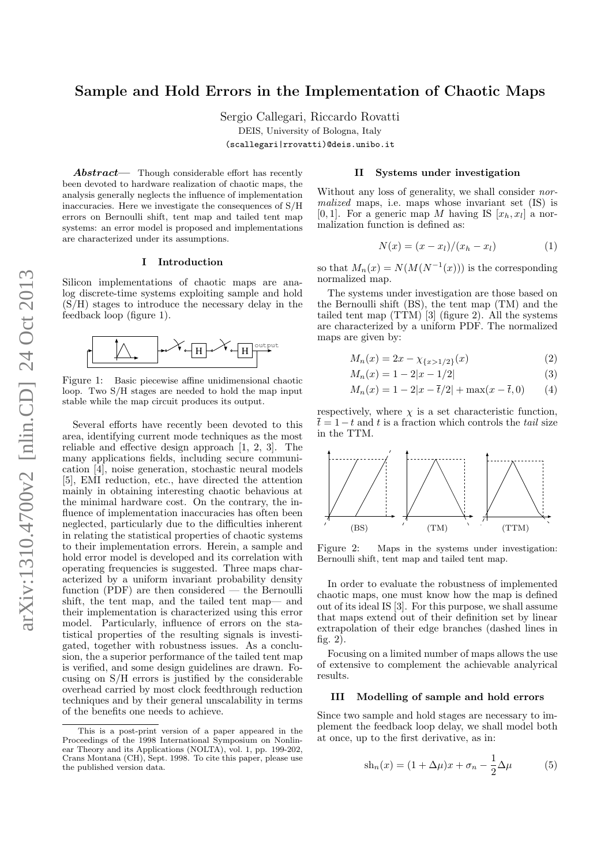# Sample and Hold Errors in the Implementation of Chaotic Maps

Sergio Callegari, Riccardo Rovatti DEIS, University of Bologna, Italy (scallegari|rrovatti)@deis.unibo.it

 $Abstract$ — Though considerable effort has recently been devoted to hardware realization of chaotic maps, the analysis generally neglects the influence of implementation inaccuracies. Here we investigate the consequences of S/H errors on Bernoulli shift, tent map and tailed tent map systems: an error model is proposed and implementations are characterized under its assumptions.

#### I Introduction

Silicon implementations of chaotic maps are analog discrete-time systems exploiting sample and hold (S/H) stages to introduce the necessary delay in the feedback loop (figure [1\)](#page-0-0).



<span id="page-0-0"></span>Figure 1: Basic piecewise affine unidimensional chaotic loop. Two S/H stages are needed to hold the map input stable while the map circuit produces its output.

Several efforts have recently been devoted to this area, identifying current mode techniques as the most reliable and effective design approach [\[1,](#page-3-0) [2,](#page-3-1) [3\]](#page-3-2). The many applications fields, including secure communication [\[4\]](#page-3-3), noise generation, stochastic neural models [\[5\]](#page-3-4), EMI reduction, etc., have directed the attention mainly in obtaining interesting chaotic behavious at the minimal hardware cost. On the contrary, the influence of implementation inaccuracies has often been neglected, particularly due to the difficulties inherent in relating the statistical properties of chaotic systems to their implementation errors. Herein, a sample and hold error model is developed and its correlation with operating frequencies is suggested. Three maps characterized by a uniform invariant probability density function (PDF) are then considered — the Bernoulli shift, the tent map, and the tailed tent map— and their implementation is characterized using this error model. Particularly, influence of errors on the statistical properties of the resulting signals is investigated, together with robustness issues. As a conclusion, the a superior performance of the tailed tent map is verified, and some design guidelines are drawn. Focusing on S/H errors is justified by the considerable overhead carried by most clock feedthrough reduction techniques and by their general unscalability in terms of the benefits one needs to achieve.

#### II Systems under investigation

Without any loss of generality, we shall consider normalized maps, i.e. maps whose invariant set (IS) is [0, 1]. For a generic map M having IS  $[x_h, x_l]$  a normalization function is defined as:

<span id="page-0-2"></span>
$$
N(x) = (x - x_l)/(x_h - x_l)
$$
 (1)

so that  $M_n(x) = N(M(N^{-1}(x)))$  is the corresponding normalized map.

The systems under investigation are those based on the Bernoulli shift (BS), the tent map (TM) and the tailed tent map  $(TTM)$  [\[3\]](#page-3-2) (figure [2\)](#page-0-1). All the systems are characterized by a uniform PDF. The normalized maps are given by:

$$
M_n(x) = 2x - \chi_{\{x > 1/2\}}(x)
$$
 (2)

$$
M_n(x) = 1 - 2|x - 1/2| \tag{3}
$$

$$
M_n(x) = 1 - 2|x - \bar{t}/2| + \max(x - \bar{t}, 0)
$$
 (4)

respectively, where  $\chi$  is a set characteristic function,  $\overline{t} = 1 - t$  and t is a fraction which controls the tail size in the TTM.



<span id="page-0-1"></span>Figure 2: Maps in the systems under investigation: Bernoulli shift, tent map and tailed tent map.

In order to evaluate the robustness of implemented chaotic maps, one must know how the map is defined out of its ideal IS [\[3\]](#page-3-2). For this purpose, we shall assume that maps extend out of their definition set by linear extrapolation of their edge branches (dashed lines in fig. [2\)](#page-0-1).

Focusing on a limited number of maps allows the use of extensive to complement the achievable analyrical results.

# III Modelling of sample and hold errors

Since two sample and hold stages are necessary to implement the feedback loop delay, we shall model both at once, up to the first derivative, as in:

$$
sh_n(x) = (1 + \Delta \mu)x + \sigma_n - \frac{1}{2}\Delta \mu \tag{5}
$$

This is a post-print version of a paper appeared in the Proceedings of the 1998 International Symposium on Nonlinear Theory and its Applications (NOLTA), vol. 1, pp. 199-202, Crans Montana (CH), Sept. 1998. To cite this paper, please use the published version data.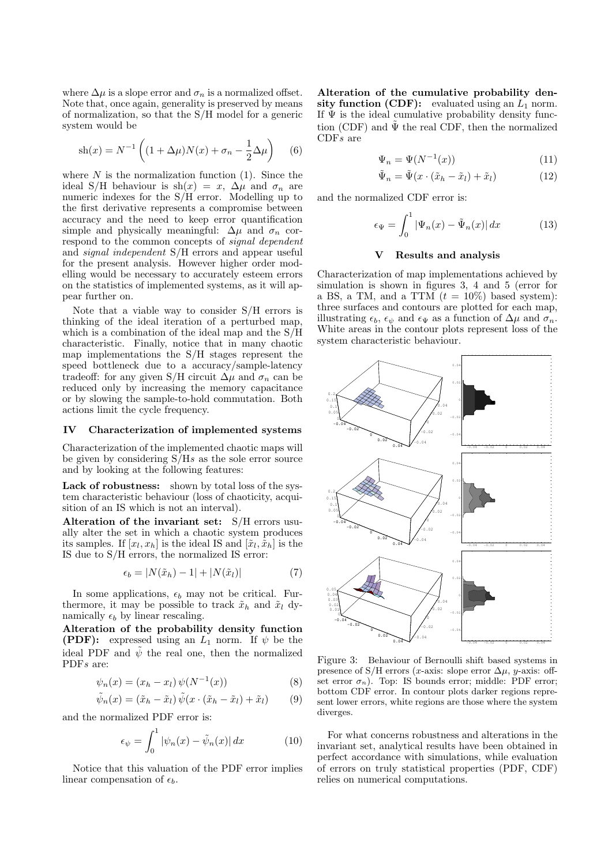where  $\Delta \mu$  is a slope error and  $\sigma_n$  is a normalized offset. Note that, once again, generality is preserved by means of normalization, so that the S/H model for a generic system would be

$$
sh(x) = N^{-1} \left( (1 + \Delta \mu) N(x) + \sigma_n - \frac{1}{2} \Delta \mu \right) \quad (6)
$$

where  $N$  is the normalization function [\(1\)](#page-0-2). Since the ideal S/H behaviour is sh $(x) = x$ ,  $\Delta \mu$  and  $\sigma_n$  are numeric indexes for the S/H error. Modelling up to the first derivative represents a compromise between accuracy and the need to keep error quantification simple and physically meaningful:  $\Delta \mu$  and  $\sigma_n$  correspond to the common concepts of signal dependent and signal independent S/H errors and appear useful for the present analysis. However higher order modelling would be necessary to accurately esteem errors on the statistics of implemented systems, as it will appear further on.

Note that a viable way to consider S/H errors is thinking of the ideal iteration of a perturbed map, which is a combination of the ideal map and the S/H characteristic. Finally, notice that in many chaotic map implementations the S/H stages represent the speed bottleneck due to a accuracy/sample-latency tradeoff: for any given S/H circuit  $\Delta \mu$  and  $\sigma_n$  can be reduced only by increasing the memory capacitance or by slowing the sample-to-hold commutation. Both actions limit the cycle frequency.

#### IV Characterization of implemented systems

Characterization of the implemented chaotic maps will be given by considering  $S/Hs$  as the sole error source and by looking at the following features:

Lack of robustness: shown by total loss of the system characteristic behaviour (loss of chaoticity, acquisition of an IS which is not an interval).

Alteration of the invariant set: S/H errors usually alter the set in which a chaotic system produces its samples. If  $[x_l, x_h]$  is the ideal IS and  $[\tilde{x}_l, \tilde{x}_h]$  is the IS due to S/H errors, the normalized IS error:

$$
\epsilon_b = |N(\tilde{x}_h) - 1| + |N(\tilde{x}_l)| \tag{7}
$$

In some applications,  $\epsilon_b$  may not be critical. Furthermore, it may be possible to track  $\tilde{x}_h$  and  $\tilde{x}_l$  dynamically  $\epsilon_b$  by linear rescaling.

Alteration of the probability density function **(PDF):** expressed using an  $\overrightarrow{L_1}$  norm. If  $\psi$  be the ideal PDF and  $\tilde{\psi}$  the real one, then the normalized PDF<sub>s</sub> are:

$$
\psi_n(x) = (x_h - x_l) \psi(N^{-1}(x))
$$
\n(8)

$$
\tilde{\psi}_n(x) = (\tilde{x}_h - \tilde{x}_l) \tilde{\psi}(x \cdot (\tilde{x}_h - \tilde{x}_l) + \tilde{x}_l)
$$
 (9)

and the normalized PDF error is:

$$
\epsilon_{\psi} = \int_0^1 |\psi_n(x) - \tilde{\psi}_n(x)| dx \qquad (10)
$$

Notice that this valuation of the PDF error implies linear compensation of  $\epsilon_b$ .

Alteration of the cumulative probability density function (CDF): evaluated using an  $L_1$  norm. If  $\Psi$  is the ideal cumulative probability density function (CDF) and  $\tilde{\Psi}$  the real CDF, then the normalized CDFs are

$$
\Psi_n = \Psi(N^{-1}(x))\tag{11}
$$

$$
\tilde{\Psi}_n = \tilde{\Psi}(x \cdot (\tilde{x}_h - \tilde{x}_l) + \tilde{x}_l)
$$
\n(12)

and the normalized CDF error is:

$$
\epsilon_{\Psi} = \int_0^1 |\Psi_n(x) - \tilde{\Psi}_n(x)| dx \qquad (13)
$$

## V Results and analysis

Characterization of map implementations achieved by simulation is shown in figures [3,](#page-1-0) [4](#page-2-0) and [5](#page-2-1) (error for a BS, a TM, and a TTM  $(t = 10\%)$  based system): three surfaces and contours are plotted for each map, illustrating  $\epsilon_b$ ,  $\epsilon_{\psi}$  and  $\epsilon_{\Psi}$  as a function of  $\Delta \mu$  and  $\sigma_n$ . White areas in the contour plots represent loss of the system characteristic behaviour.



<span id="page-1-0"></span>Figure 3: Behaviour of Bernoulli shift based systems in presence of S/H errors (x-axis: slope error  $\Delta \mu$ , y-axis: offset error  $\sigma_n$ ). Top: IS bounds error; middle: PDF error; bottom CDF error. In contour plots darker regions represent lower errors, white regions are those where the system diverges.

For what concerns robustness and alterations in the invariant set, analytical results have been obtained in perfect accordance with simulations, while evaluation of errors on truly statistical properties (PDF, CDF) relies on numerical computations.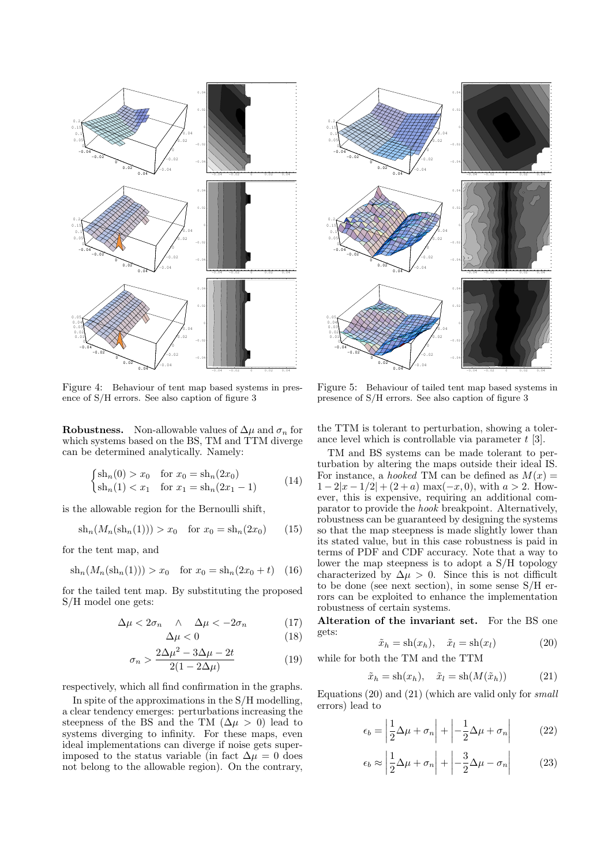

<span id="page-2-0"></span>Figure 4: Behaviour of tent map based systems in presence of S/H errors. See also caption of figure [3](#page-1-0)

<span id="page-2-4"></span>**Robustness.** Non-allowable values of  $\Delta \mu$  and  $\sigma_n$  for which systems based on the BS, TM and TTM diverge can be determined analytically. Namely:

$$
\begin{cases}\n\sinh(0) > x_0 \quad \text{for } x_0 = \sinh(2x_0) \\
\sinh(1) < x_1 \quad \text{for } x_1 = \sinh(2x_1 - 1)\n\end{cases} \tag{14}
$$

is the allowable region for the Bernoulli shift,

$$
sh_n(M_n(sh_n(1))) > x_0 \text{ for } x_0 = sh_n(2x_0) \qquad (15)
$$

for the tent map, and

$$
sh_n(M_n(sh_n(1))) > x_0 \text{ for } x_0 = sh_n(2x_0 + t) \quad (16)
$$

for the tailed tent map. By substituting the proposed S/H model one gets:

$$
\Delta \mu < 2\sigma_n \quad \wedge \quad \Delta \mu < -2\sigma_n \tag{17}
$$

$$
\Delta \mu < 0 \tag{18}
$$

$$
\sigma_n > \frac{2\Delta\mu^2 - 3\Delta\mu - 2t}{2(1 - 2\Delta\mu)}\tag{19}
$$

respectively, which all find confirmation in the graphs.

In spite of the approximations in the S/H modelling, a clear tendency emerges: perturbations increasing the steepness of the BS and the TM ( $\Delta \mu > 0$ ) lead to systems diverging to infinity. For these maps, even ideal implementations can diverge if noise gets superimposed to the status variable (in fact  $\Delta \mu = 0$  does



<span id="page-2-1"></span>Figure 5: Behaviour of tailed tent map based systems in presence of S/H errors. See also caption of figure [3](#page-1-0)

the TTM is tolerant to perturbation, showing a tolerance level which is controllable via parameter  $t \geq 3$ .

TM and BS systems can be made tolerant to perturbation by altering the maps outside their ideal IS. For instance, a *hooked* TM can be defined as  $M(x) =$  $1-2|x-1/2|+(2+a) \max(-x,0), \text{ with } a>2.$  However, this is expensive, requiring an additional comparator to provide the hook breakpoint. Alternatively, robustness can be guaranteed by designing the systems so that the map steepness is made slightly lower than its stated value, but in this case robustness is paid in terms of PDF and CDF accuracy. Note that a way to lower the map steepness is to adopt a S/H topology characterized by  $\Delta \mu > 0$ . Since this is not difficult to be done (see next section), in some sense S/H errors can be exploited to enhance the implementation robustness of certain systems.

Alteration of the invariant set. For the BS one gets:

<span id="page-2-2"></span>
$$
\tilde{x}_h = \text{sh}(x_h), \quad \tilde{x}_l = \text{sh}(x_l) \tag{20}
$$

while for both the TM and the TTM

<span id="page-2-3"></span>
$$
\tilde{x}_h = \text{sh}(x_h), \quad \tilde{x}_l = \text{sh}(M(\tilde{x}_h)) \tag{21}
$$

Equations  $(20)$  and  $(21)$  (which are valid only for small errors) lead to

$$
\epsilon_b = \left| \frac{1}{2} \Delta \mu + \sigma_n \right| + \left| -\frac{1}{2} \Delta \mu + \sigma_n \right| \tag{22}
$$

$$
\epsilon_b \approx \left| \frac{1}{2} \Delta \mu + \sigma_n \right| + \left| -\frac{3}{2} \Delta \mu - \sigma_n \right| \tag{23}
$$